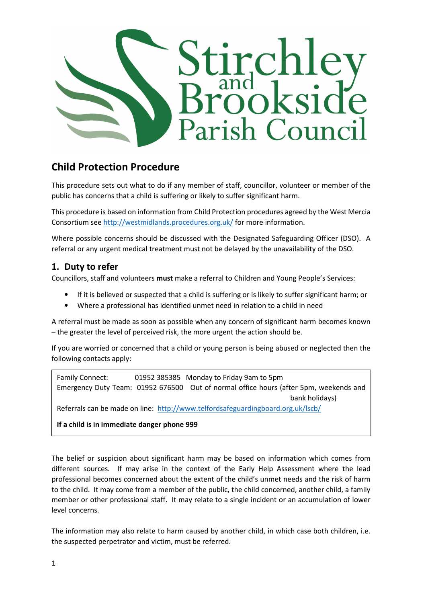

# Child Protection Procedure

This procedure sets out what to do if any member of staff, councillor, volunteer or member of the public has concerns that a child is suffering or likely to suffer significant harm.

This procedure is based on information from Child Protection procedures agreed by the West Mercia Consortium see http://westmidlands.procedures.org.uk/ for more information.

Where possible concerns should be discussed with the Designated Safeguarding Officer (DSO). A referral or any urgent medical treatment must not be delayed by the unavailability of the DSO.

# 1. Duty to refer

Councillors, staff and volunteers must make a referral to Children and Young People's Services:

- If it is believed or suspected that a child is suffering or is likely to suffer significant harm; or
- Where a professional has identified unmet need in relation to a child in need

A referral must be made as soon as possible when any concern of significant harm becomes known – the greater the level of perceived risk, the more urgent the action should be.

If you are worried or concerned that a child or young person is being abused or neglected then the following contacts apply:

Family Connect: 01952 385385 Monday to Friday 9am to 5pm Emergency Duty Team: 01952 676500 Out of normal office hours (after 5pm, weekends and bank holidays)

Referrals can be made on line: http://www.telfordsafeguardingboard.org.uk/lscb/

If a child is in immediate danger phone 999

The belief or suspicion about significant harm may be based on information which comes from different sources. If may arise in the context of the Early Help Assessment where the lead professional becomes concerned about the extent of the child's unmet needs and the risk of harm to the child. It may come from a member of the public, the child concerned, another child, a family member or other professional staff. It may relate to a single incident or an accumulation of lower level concerns.

The information may also relate to harm caused by another child, in which case both children, i.e. the suspected perpetrator and victim, must be referred.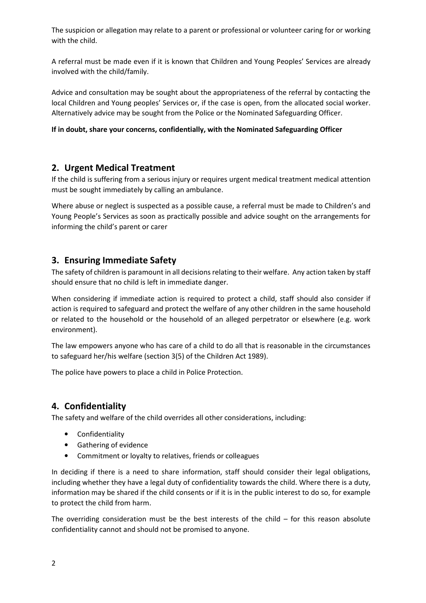The suspicion or allegation may relate to a parent or professional or volunteer caring for or working with the child.

A referral must be made even if it is known that Children and Young Peoples' Services are already involved with the child/family.

Advice and consultation may be sought about the appropriateness of the referral by contacting the local Children and Young peoples' Services or, if the case is open, from the allocated social worker. Alternatively advice may be sought from the Police or the Nominated Safeguarding Officer.

#### If in doubt, share your concerns, confidentially, with the Nominated Safeguarding Officer

### 2. Urgent Medical Treatment

If the child is suffering from a serious injury or requires urgent medical treatment medical attention must be sought immediately by calling an ambulance.

Where abuse or neglect is suspected as a possible cause, a referral must be made to Children's and Young People's Services as soon as practically possible and advice sought on the arrangements for informing the child's parent or carer

### 3. Ensuring Immediate Safety

The safety of children is paramount in all decisions relating to their welfare. Any action taken by staff should ensure that no child is left in immediate danger.

When considering if immediate action is required to protect a child, staff should also consider if action is required to safeguard and protect the welfare of any other children in the same household or related to the household or the household of an alleged perpetrator or elsewhere (e.g. work environment).

The law empowers anyone who has care of a child to do all that is reasonable in the circumstances to safeguard her/his welfare (section 3(5) of the Children Act 1989).

The police have powers to place a child in Police Protection.

# 4. Confidentiality

The safety and welfare of the child overrides all other considerations, including:

- Confidentiality
- Gathering of evidence
- Commitment or loyalty to relatives, friends or colleagues

In deciding if there is a need to share information, staff should consider their legal obligations, including whether they have a legal duty of confidentiality towards the child. Where there is a duty, information may be shared if the child consents or if it is in the public interest to do so, for example to protect the child from harm.

The overriding consideration must be the best interests of the child  $-$  for this reason absolute confidentiality cannot and should not be promised to anyone.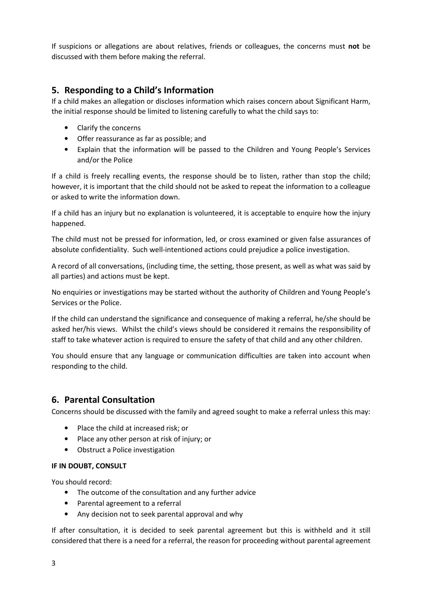If suspicions or allegations are about relatives, friends or colleagues, the concerns must not be discussed with them before making the referral.

# 5. Responding to a Child's Information

If a child makes an allegation or discloses information which raises concern about Significant Harm, the initial response should be limited to listening carefully to what the child says to:

- Clarify the concerns
- Offer reassurance as far as possible; and
- Explain that the information will be passed to the Children and Young People's Services and/or the Police

If a child is freely recalling events, the response should be to listen, rather than stop the child; however, it is important that the child should not be asked to repeat the information to a colleague or asked to write the information down.

If a child has an injury but no explanation is volunteered, it is acceptable to enquire how the injury happened.

The child must not be pressed for information, led, or cross examined or given false assurances of absolute confidentiality. Such well-intentioned actions could prejudice a police investigation.

A record of all conversations, (including time, the setting, those present, as well as what was said by all parties) and actions must be kept.

No enquiries or investigations may be started without the authority of Children and Young People's Services or the Police.

If the child can understand the significance and consequence of making a referral, he/she should be asked her/his views. Whilst the child's views should be considered it remains the responsibility of staff to take whatever action is required to ensure the safety of that child and any other children.

You should ensure that any language or communication difficulties are taken into account when responding to the child.

#### 6. Parental Consultation

Concerns should be discussed with the family and agreed sought to make a referral unless this may:

- Place the child at increased risk; or
- Place any other person at risk of injury; or
- Obstruct a Police investigation

#### IF IN DOUBT, CONSULT

You should record:

- The outcome of the consultation and any further advice
- Parental agreement to a referral
- Any decision not to seek parental approval and why

If after consultation, it is decided to seek parental agreement but this is withheld and it still considered that there is a need for a referral, the reason for proceeding without parental agreement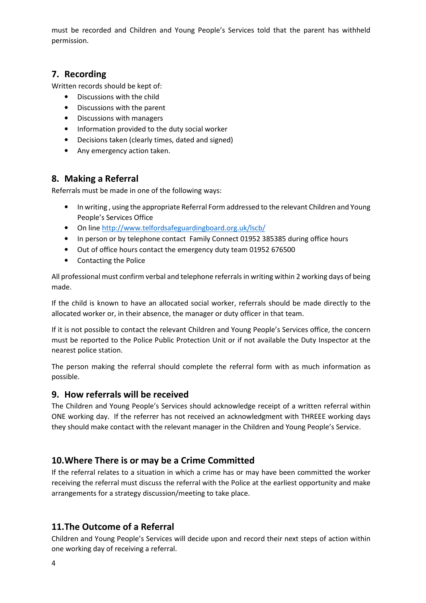must be recorded and Children and Young People's Services told that the parent has withheld permission.

# 7. Recording

Written records should be kept of:

- Discussions with the child
- Discussions with the parent
- Discussions with managers
- Information provided to the duty social worker
- Decisions taken (clearly times, dated and signed)
- Any emergency action taken.

# 8. Making a Referral

Referrals must be made in one of the following ways:

- In writing , using the appropriate Referral Form addressed to the relevant Children and Young People's Services Office
- On line http://www.telfordsafeguardingboard.org.uk/lscb/
- In person or by telephone contact Family Connect 01952 385385 during office hours
- Out of office hours contact the emergency duty team 01952 676500
- Contacting the Police

All professional must confirm verbal and telephone referrals in writing within 2 working days of being made.

If the child is known to have an allocated social worker, referrals should be made directly to the allocated worker or, in their absence, the manager or duty officer in that team.

If it is not possible to contact the relevant Children and Young People's Services office, the concern must be reported to the Police Public Protection Unit or if not available the Duty Inspector at the nearest police station.

The person making the referral should complete the referral form with as much information as possible.

# 9. How referrals will be received

The Children and Young People's Services should acknowledge receipt of a written referral within ONE working day. If the referrer has not received an acknowledgment with THREEE working days they should make contact with the relevant manager in the Children and Young People's Service.

# 10.Where There is or may be a Crime Committed

If the referral relates to a situation in which a crime has or may have been committed the worker receiving the referral must discuss the referral with the Police at the earliest opportunity and make arrangements for a strategy discussion/meeting to take place.

# 11.The Outcome of a Referral

Children and Young People's Services will decide upon and record their next steps of action within one working day of receiving a referral.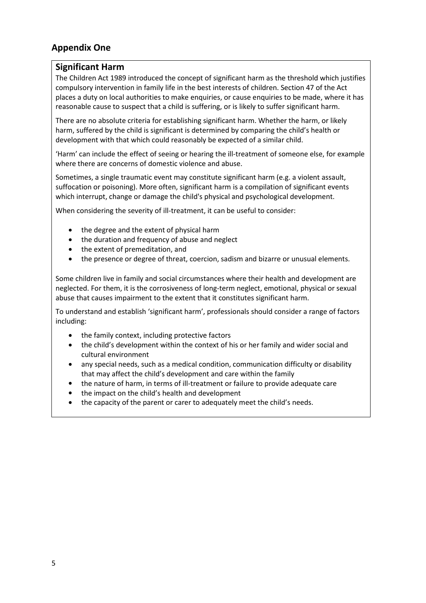# Appendix One

### Significant Harm

The Children Act 1989 introduced the concept of significant harm as the threshold which justifies compulsory intervention in family life in the best interests of children. Section 47 of the Act places a duty on local authorities to make enquiries, or cause enquiries to be made, where it has reasonable cause to suspect that a child is suffering, or is likely to suffer significant harm.

There are no absolute criteria for establishing significant harm. Whether the harm, or likely harm, suffered by the child is significant is determined by comparing the child's health or development with that which could reasonably be expected of a similar child.

'Harm' can include the effect of seeing or hearing the ill-treatment of someone else, for example where there are concerns of domestic violence and abuse.

Sometimes, a single traumatic event may constitute significant harm (e.g. a violent assault, suffocation or poisoning). More often, significant harm is a compilation of significant events which interrupt, change or damage the child's physical and psychological development.

When considering the severity of ill-treatment, it can be useful to consider:

- the degree and the extent of physical harm
- the duration and frequency of abuse and neglect
- the extent of premeditation, and
- the presence or degree of threat, coercion, sadism and bizarre or unusual elements.

Some children live in family and social circumstances where their health and development are neglected. For them, it is the corrosiveness of long-term neglect, emotional, physical or sexual abuse that causes impairment to the extent that it constitutes significant harm.

To understand and establish 'significant harm', professionals should consider a range of factors including:

- the family context, including protective factors
- the child's development within the context of his or her family and wider social and cultural environment
- any special needs, such as a medical condition, communication difficulty or disability that may affect the child's development and care within the family
- the nature of harm, in terms of ill-treatment or failure to provide adequate care
- the impact on the child's health and development
- the capacity of the parent or carer to adequately meet the child's needs.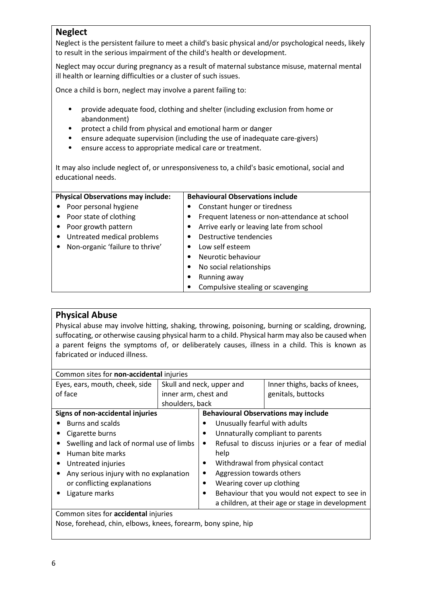# Neglect

Neglect is the persistent failure to meet a child's basic physical and/or psychological needs, likely to result in the serious impairment of the child's health or development.

Neglect may occur during pregnancy as a result of maternal substance misuse, maternal mental ill health or learning difficulties or a cluster of such issues.

Once a child is born, neglect may involve a parent failing to:

- provide adequate food, clothing and shelter (including exclusion from home or abandonment)
- protect a child from physical and emotional harm or danger
- ensure adequate supervision (including the use of inadequate care-givers)
- ensure access to appropriate medical care or treatment.

It may also include neglect of, or unresponsiveness to, a child's basic emotional, social and educational needs.

| <b>Physical Observations may include:</b> |                                 | <b>Behavioural Observations include</b> |                                               |
|-------------------------------------------|---------------------------------|-----------------------------------------|-----------------------------------------------|
|                                           | • Poor personal hygiene         |                                         | Constant hunger or tiredness                  |
|                                           | • Poor state of clothing        |                                         | Frequent lateness or non-attendance at school |
| $\bullet$                                 | Poor growth pattern             |                                         | Arrive early or leaving late from school      |
| $\bullet$                                 | Untreated medical problems      |                                         | Destructive tendencies                        |
|                                           | Non-organic 'failure to thrive' |                                         | Low self esteem                               |
|                                           |                                 |                                         | Neurotic behaviour                            |
|                                           |                                 |                                         | No social relationships                       |
|                                           |                                 |                                         | Running away                                  |
|                                           |                                 |                                         | Compulsive stealing or scavenging             |

# Physical Abuse

Physical abuse may involve hitting, shaking, throwing, poisoning, burning or scalding, drowning, suffocating, or otherwise causing physical harm to a child. Physical harm may also be caused when a parent feigns the symptoms of, or deliberately causes, illness in a child. This is known as fabricated or induced illness.

| Common sites for <b>non-accidental</b> injuries |                 |                                                              |                                                  |  |
|-------------------------------------------------|-----------------|--------------------------------------------------------------|--------------------------------------------------|--|
| Eyes, ears, mouth, cheek, side                  |                 | Skull and neck, upper and                                    | Inner thighs, backs of knees,                    |  |
| of face<br>inner arm, chest and                 |                 |                                                              | genitals, buttocks                               |  |
|                                                 | shoulders, back |                                                              |                                                  |  |
| Signs of non-accidental injuries                |                 |                                                              | <b>Behavioural Observations may include</b>      |  |
| <b>Burns and scalds</b>                         |                 |                                                              | Unusually fearful with adults                    |  |
| Cigarette burns                                 |                 | Unnaturally compliant to parents                             |                                                  |  |
| Swelling and lack of normal use of limbs        |                 | Refusal to discuss injuries or a fear of medial<br>$\bullet$ |                                                  |  |
| Human bite marks                                |                 | help                                                         |                                                  |  |
| Untreated injuries                              |                 | Withdrawal from physical contact                             |                                                  |  |
| Any serious injury with no explanation          |                 | Aggression towards others                                    |                                                  |  |
| or conflicting explanations                     |                 | Wearing cover up clothing<br>$\bullet$                       |                                                  |  |
| Ligature marks                                  |                 | $\bullet$                                                    | Behaviour that you would not expect to see in    |  |
|                                                 |                 |                                                              | a children, at their age or stage in development |  |
| Common sites for <b>accidental</b> injuries     |                 |                                                              |                                                  |  |

Nose, forehead, chin, elbows, knees, forearm, bony spine, hip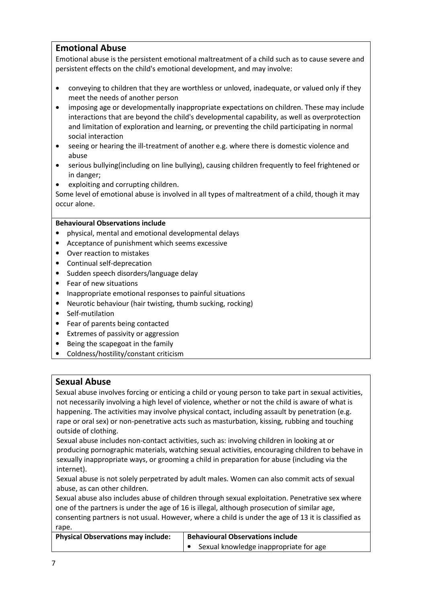# Emotional Abuse

Emotional abuse is the persistent emotional maltreatment of a child such as to cause severe and persistent effects on the child's emotional development, and may involve:

- conveying to children that they are worthless or unloved, inadequate, or valued only if they meet the needs of another person
- imposing age or developmentally inappropriate expectations on children. These may include interactions that are beyond the child's developmental capability, as well as overprotection and limitation of exploration and learning, or preventing the child participating in normal social interaction
- seeing or hearing the ill-treatment of another e.g. where there is domestic violence and abuse
- serious bullying(including on line bullying), causing children frequently to feel frightened or in danger;
- exploiting and corrupting children.

Some level of emotional abuse is involved in all types of maltreatment of a child, though it may occur alone.

#### Behavioural Observations include

- physical, mental and emotional developmental delays
- Acceptance of punishment which seems excessive
- Over reaction to mistakes
- Continual self-deprecation
- Sudden speech disorders/language delay
- Fear of new situations
- Inappropriate emotional responses to painful situations
- Neurotic behaviour (hair twisting, thumb sucking, rocking)
- Self-mutilation
- Fear of parents being contacted
- Extremes of passivity or aggression
- Being the scapegoat in the family
- Coldness/hostility/constant criticism

#### Sexual Abuse

Sexual abuse involves forcing or enticing a child or young person to take part in sexual activities, not necessarily involving a high level of violence, whether or not the child is aware of what is happening. The activities may involve physical contact, including assault by penetration (e.g. rape or oral sex) or non-penetrative acts such as masturbation, kissing, rubbing and touching outside of clothing.

Sexual abuse includes non-contact activities, such as: involving children in looking at or producing pornographic materials, watching sexual activities, encouraging children to behave in sexually inappropriate ways, or grooming a child in preparation for abuse (including via the internet).

Sexual abuse is not solely perpetrated by adult males. Women can also commit acts of sexual abuse, as can other children.

Sexual abuse also includes abuse of children through sexual exploitation. Penetrative sex where one of the partners is under the age of 16 is illegal, although prosecution of similar age, consenting partners is not usual. However, where a child is under the age of 13 it is classified as rape.

| <b>Physical Observations may include:</b> | <b>Behavioural Observations include</b> |  |
|-------------------------------------------|-----------------------------------------|--|
|                                           | Sexual knowledge inappropriate for age  |  |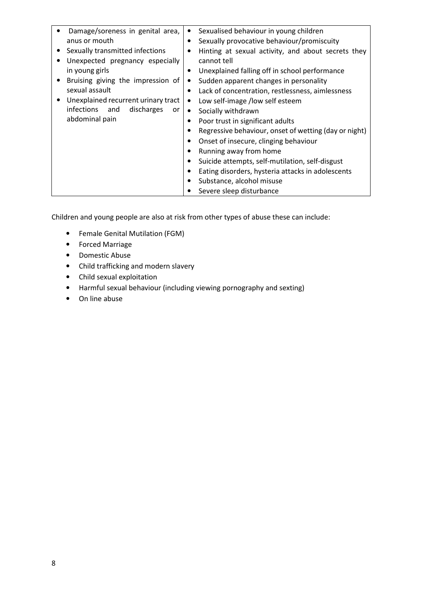| Damage/soreness in genital area,    | Sexualised behaviour in young children                        |
|-------------------------------------|---------------------------------------------------------------|
| anus or mouth                       | Sexually provocative behaviour/promiscuity                    |
| Sexually transmitted infections     | Hinting at sexual activity, and about secrets they            |
| Unexpected pregnancy especially     | cannot tell                                                   |
| in young girls                      | Unexplained falling off in school performance<br>٠            |
| Bruising giving the impression of   | Sudden apparent changes in personality<br>٠                   |
| sexual assault                      | Lack of concentration, restlessness, aimlessness<br>$\bullet$ |
| Unexplained recurrent urinary tract | Low self-image /low self esteem                               |
| infections and<br>discharges<br>or  | Socially withdrawn<br>$\bullet$                               |
| abdominal pain                      | Poor trust in significant adults                              |
|                                     | Regressive behaviour, onset of wetting (day or night)         |
|                                     | Onset of insecure, clinging behaviour                         |
|                                     | Running away from home                                        |
|                                     | Suicide attempts, self-mutilation, self-disgust               |
|                                     | Eating disorders, hysteria attacks in adolescents             |
|                                     | Substance, alcohol misuse                                     |
|                                     | Severe sleep disturbance                                      |

Children and young people are also at risk from other types of abuse these can include:

- Female Genital Mutilation (FGM)
- Forced Marriage
- Domestic Abuse
- Child trafficking and modern slavery
- Child sexual exploitation
- Harmful sexual behaviour (including viewing pornography and sexting)
- On line abuse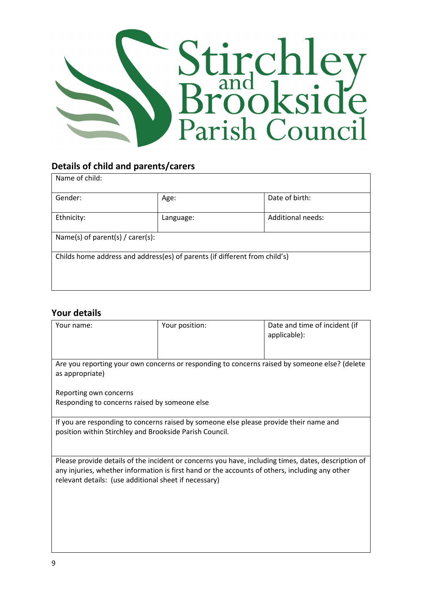

# Details of child and parents/carers

| Name of child:                                                             |           |                   |  |
|----------------------------------------------------------------------------|-----------|-------------------|--|
| Gender:                                                                    | Age:      | Date of birth:    |  |
| Ethnicity:                                                                 | Language: | Additional needs: |  |
| Name(s) of parent(s) / carer(s):                                           |           |                   |  |
| Childs home address and address(es) of parents (if different from child's) |           |                   |  |

# Your details

| Your name:                                                                                                                                                                                                                                                     | Your position: | Date and time of incident (if<br>applicable): |  |
|----------------------------------------------------------------------------------------------------------------------------------------------------------------------------------------------------------------------------------------------------------------|----------------|-----------------------------------------------|--|
| Are you reporting your own concerns or responding to concerns raised by someone else? (delete<br>as appropriate)                                                                                                                                               |                |                                               |  |
| Reporting own concerns<br>Responding to concerns raised by someone else                                                                                                                                                                                        |                |                                               |  |
| If you are responding to concerns raised by someone else please provide their name and<br>position within Stirchley and Brookside Parish Council.                                                                                                              |                |                                               |  |
| Please provide details of the incident or concerns you have, including times, dates, description of<br>any injuries, whether information is first hand or the accounts of others, including any other<br>relevant details: (use additional sheet if necessary) |                |                                               |  |
|                                                                                                                                                                                                                                                                |                |                                               |  |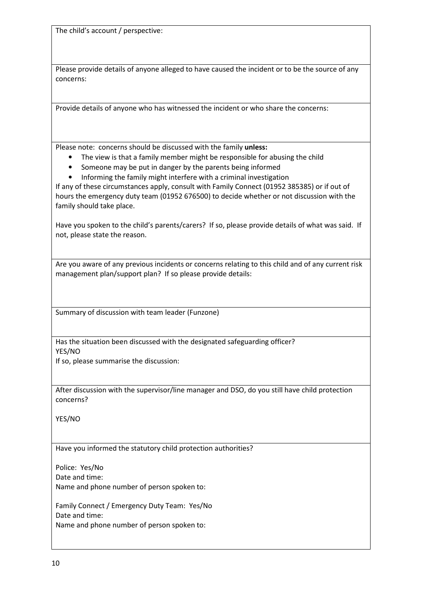The child's account / perspective:

Please provide details of anyone alleged to have caused the incident or to be the source of any concerns:

Provide details of anyone who has witnessed the incident or who share the concerns:

Please note: concerns should be discussed with the family unless:

- The view is that a family member might be responsible for abusing the child
- Someone may be put in danger by the parents being informed
- Informing the family might interfere with a criminal investigation

If any of these circumstances apply, consult with Family Connect (01952 385385) or if out of hours the emergency duty team (01952 676500) to decide whether or not discussion with the family should take place.

Have you spoken to the child's parents/carers? If so, please provide details of what was said. If not, please state the reason.

Are you aware of any previous incidents or concerns relating to this child and of any current risk management plan/support plan? If so please provide details:

Summary of discussion with team leader (Funzone)

Has the situation been discussed with the designated safeguarding officer? YES/NO

If so, please summarise the discussion:

After discussion with the supervisor/line manager and DSO, do you still have child protection concerns?

YES/NO

Have you informed the statutory child protection authorities?

Police: Yes/No Date and time: Name and phone number of person spoken to:

Family Connect / Emergency Duty Team: Yes/No Date and time: Name and phone number of person spoken to: